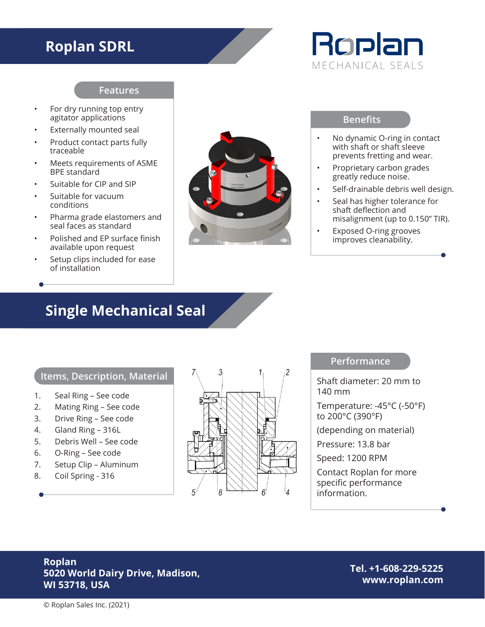## **Roplan SDRL**

# Roplan MECHANICAL SEALS

#### **Features**

- For dry running top entry agitator applications
- Externally mounted seal
- Product contact parts fully traceable
- Meets requirements of ASME BPE standard
- Suitable for CIP and SIP
- Suitable for vacuum conditions
- Pharma grade elastomers and seal faces as standard
- Polished and EP surface finish available upon request
- Setup clips included for ease of installation



#### **Benefits**

- No dynamic O-ring in contact with shaft or shaft sleeve prevents fretting and wear.
- Proprietary carbon grades greatly reduce noise.
- Self-drainable debris well design.
- Seal has higher tolerance for shaft deflection and misalignment (up to 0.150" TIR).
- Exposed O-ring grooves improves cleanability.

## **Single Mechanical Seal**

#### **Items, Description, Material**

- 1. Seal Ring See code
- 2. Mating Ring See code
- 3. Drive Ring See code
- 4. Gland Ring 316L
- 5. Debris Well See code
- 6. O-Ring See code
- 7. Setup Clip Aluminum
- 8. Coil Spring 316



#### **Performance**

Shaft diameter: 20 mm to 140 mm

Temperature: -45°C (-50°F) to 200°C (390°F)

(depending on material)

Pressure: 13.8 bar

Speed: 1200 RPM

Contact Roplan for more specific performance information.

#### **Roplan 5020 World Dairy Drive, Madison, WI 53718, USA**

**Tel. +1-608-229-5225 www.roplan.com**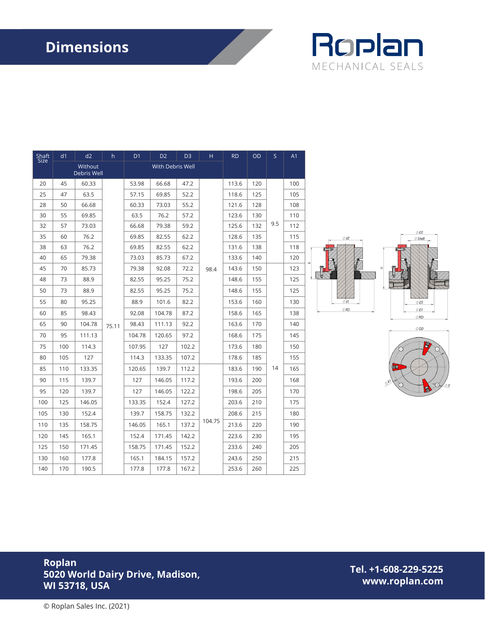# **Dimensions**



| Shaft<br>Size | d1                            | d2     | h     | D <sub>1</sub>   | D <sub>2</sub> | D <sub>3</sub> | н      | <b>RD</b> | OD  | S   | A <sub>1</sub> |
|---------------|-------------------------------|--------|-------|------------------|----------------|----------------|--------|-----------|-----|-----|----------------|
|               | Without<br><b>Debris Well</b> |        |       | With Debris Well |                |                |        |           |     |     |                |
| 20            | 45                            | 60.33  | 75.11 | 53.98            | 66.68          | 47.2           | 98.4   | 113.6     | 120 | 9.5 | 100            |
| 25            | 47                            | 63.5   |       | 57.15            | 69.85          | 52.2           |        | 118.6     | 125 |     | 105            |
| 28            | 50                            | 66.68  |       | 60.33            | 73.03          | 55.2           |        | 121.6     | 128 |     | 108            |
| 30            | 55                            | 69.85  |       | 63.5             | 76.2           | 57.2           |        | 123.6     | 130 |     | 110            |
| 32            | 57                            | 73.03  |       | 66.68            | 79.38          | 59.2           |        | 125.6     | 132 |     | 112            |
| 35            | 60                            | 76.2   |       | 69.85            | 82.55          | 62.2           |        | 128.6     | 135 |     | 115            |
| 38            | 63                            | 76.2   |       | 69.85            | 82.55          | 62.2           |        | 131.6     | 138 |     | 118            |
| 40            | 65                            | 79.38  |       | 73.03            | 85.73          | 67.2           |        | 133.6     | 140 |     | 120            |
| 45            | 70                            | 85.73  |       | 79.38            | 92.08          | 72.2           |        | 143.6     | 150 |     | 123            |
| 48            | 73                            | 88.9   |       | 82.55            | 95.25          | 75.2           |        | 148.6     | 155 |     | 125            |
| 50            | 73                            | 88.9   |       | 82.55            | 95.25          | 75.2           |        | 148.6     | 155 |     | 125            |
| 55            | 80                            | 95.25  |       | 88.9             | 101.6          | 82.2           |        | 153.6     | 160 |     | 130            |
| 60            | 85                            | 98.43  |       | 92.08            | 104.78         | 87.2           |        | 158.6     | 165 |     | 138            |
| 65            | 90                            | 104.78 |       | 98.43            | 111.13         | 92.2           |        | 163.6     | 170 |     | 140            |
| 70            | 95                            | 111.13 |       | 104.78           | 120.65         | 97.2           |        | 168.6     | 175 |     | 145            |
| 75            | 100                           | 114.3  |       | 107.95           | 127            | 102.2          |        | 173.6     | 180 |     | 150            |
| 80            | 105                           | 127    |       | 114.3            | 133.35         | 107.2          |        | 178.6     | 185 |     | 155            |
| 85            | 110                           | 133.35 |       | 120.65           | 139.7          | 112.2          |        | 183.6     | 190 | 14  | 165            |
| 90            | 115                           | 139.7  |       | 127              | 146.05         | 117.2          |        | 193.6     | 200 |     | 168            |
| 95            | 120                           | 139.7  |       | 127              | 146.05         | 122.2          | 104.75 | 198.6     | 205 |     | 170            |
| 100           | 125                           | 146.05 |       | 133.35           | 152.4          | 127.2          |        | 203.6     | 210 |     | 175            |
| 105           | 130                           | 152.4  |       | 139.7            | 158.75         | 132.2          |        | 208.6     | 215 |     | 180            |
| 110           | 135                           | 158.75 |       | 146.05           | 165.1          | 137.2          |        | 213.6     | 220 |     | 190            |
| 120           | 145                           | 165.1  |       | 152.4            | 171.45         | 142.2          |        | 223.6     | 230 |     | 195            |
| 125           | 150                           | 171.45 |       | 158.75           | 171.45         | 152.2          |        | 233.6     | 240 |     | 205            |
| 130           | 160                           | 177.8  |       | 165.1            | 184.15         | 157.2          |        | 243.6     | 250 |     | 215            |
| 140           | 170                           | 190.5  |       | 177.8            | 177.8          | 167.2          |        | 253.6     | 260 |     | 225            |







#### **Roplan 5020 World Dairy Drive, Madison, WI 53718, USA**

**Tel. +1-608-229-5225 www.roplan.com**